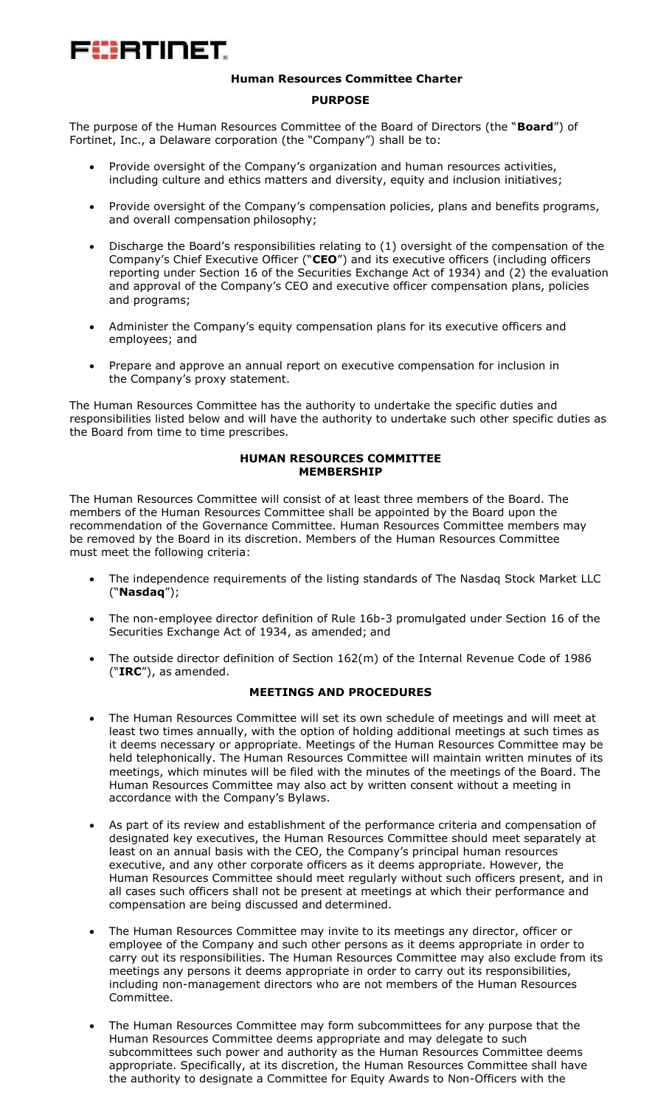# æerinet

## **Human Resources Committee Charter**

#### **PURPOSE**

The purpose of the Human Resources Committee of the Board of Directors (the "**Board**") of Fortinet, Inc., a Delaware corporation (the "Company") shall be to:

- Provide oversight of the Company's organization and human resources activities, including culture and ethics matters and diversity, equity and inclusion initiatives;
- Provide oversight of the Company's compensation policies, plans and benefits programs, and overall compensation philosophy;
- Discharge the Board's responsibilities relating to (1) oversight of the compensation of the Company's Chief Executive Officer ("**CEO**") and its executive officers (including officers reporting under Section 16 of the Securities Exchange Act of 1934) and (2) the evaluation and approval of the Company's CEO and executive officer compensation plans, policies and programs;
- Administer the Company's equity compensation plans for its executive officers and employees; and
- Prepare and approve an annual report on executive compensation for inclusion in the Company's proxy statement.

The Human Resources Committee has the authority to undertake the specific duties and responsibilities listed below and will have the authority to undertake such other specific duties as the Board from time to time prescribes.

#### **HUMAN RESOURCES COMMITTEE MEMBERSHIP**

The Human Resources Committee will consist of at least three members of the Board. The members of the Human Resources Committee shall be appointed by the Board upon the recommendation of the Governance Committee. Human Resources Committee members may be removed by the Board in its discretion. Members of the Human Resources Committee must meet the following criteria:

- The independence requirements of the listing standards of The Nasdaq Stock Market LLC ("**Nasdaq**");
- The non-employee director definition of Rule 16b-3 promulgated under Section 16 of the Securities Exchange Act of 1934, as amended; and
- The outside director definition of Section 162(m) of the Internal Revenue Code of 1986 ("**IRC**"), as amended.

### **MEETINGS AND PROCEDURES**

- The Human Resources Committee will set its own schedule of meetings and will meet at least two times annually, with the option of holding additional meetings at such times as it deems necessary or appropriate. Meetings of the Human Resources Committee may be held telephonically. The Human Resources Committee will maintain written minutes of its meetings, which minutes will be filed with the minutes of the meetings of the Board. The Human Resources Committee may also act by written consent without a meeting in accordance with the Company's Bylaws.
- As part of its review and establishment of the performance criteria and compensation of designated key executives, the Human Resources Committee should meet separately at least on an annual basis with the CEO, the Company's principal human resources executive, and any other corporate officers as it deems appropriate. However, the Human Resources Committee should meet regularly without such officers present, and in all cases such officers shall not be present at meetings at which their performance and compensation are being discussed and determined.
- The Human Resources Committee may invite to its meetings any director, officer or employee of the Company and such other persons as it deems appropriate in order to carry out its responsibilities. The Human Resources Committee may also exclude from its meetings any persons it deems appropriate in order to carry out its responsibilities, including non-management directors who are not members of the Human Resources Committee.
- The Human Resources Committee may form subcommittees for any purpose that the Human Resources Committee deems appropriate and may delegate to such subcommittees such power and authority as the Human Resources Committee deems appropriate. Specifically, at its discretion, the Human Resources Committee shall have the authority to designate a Committee for Equity Awards to Non-Officers with the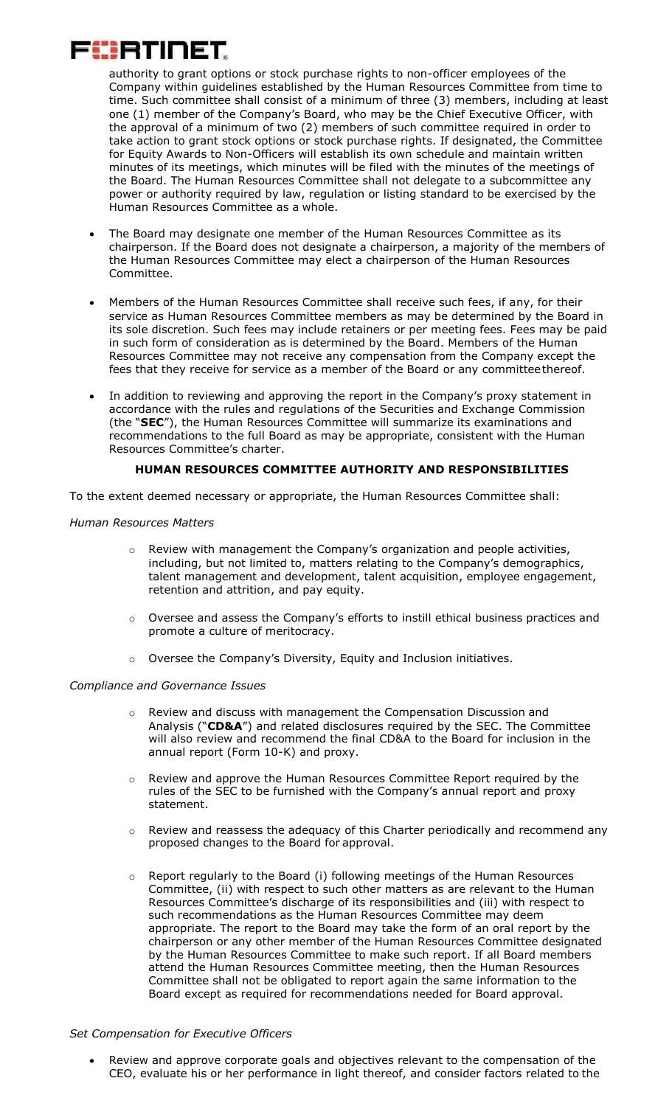

authority to grant options or stock purchase rights to non-officer employees of the Company within guidelines established by the Human Resources Committee from time to time. Such committee shall consist of a minimum of three (3) members, including at least one (1) member of the Company's Board, who may be the Chief Executive Officer, with the approval of a minimum of two (2) members of such committee required in order to take action to grant stock options or stock purchase rights. If designated, the Committee for Equity Awards to Non-Officers will establish its own schedule and maintain written minutes of its meetings, which minutes will be filed with the minutes of the meetings of the Board. The Human Resources Committee shall not delegate to a subcommittee any power or authority required by law, regulation or listing standard to be exercised by the Human Resources Committee as a whole.

- The Board may designate one member of the Human Resources Committee as its chairperson. If the Board does not designate a chairperson, a majority of the members of the Human Resources Committee may elect a chairperson of the Human Resources Committee.
- Members of the Human Resources Committee shall receive such fees, if any, for their service as Human Resources Committee members as may be determined by the Board in its sole discretion. Such fees may include retainers or per meeting fees. Fees may be paid in such form of consideration as is determined by the Board. Members of the Human Resources Committee may not receive any compensation from the Company except the fees that they receive for service as a member of the Board or any committeethereof.
- In addition to reviewing and approving the report in the Company's proxy statement in accordance with the rules and regulations of the Securities and Exchange Commission (the "**SEC**"), the Human Resources Committee will summarize its examinations and recommendations to the full Board as may be appropriate, consistent with the Human Resources Committee's charter.

### **HUMAN RESOURCES COMMITTEE AUTHORITY AND RESPONSIBILITIES**

To the extent deemed necessary or appropriate, the Human Resources Committee shall:

#### *Human Resources Matters*

- Review with management the Company's organization and people activities, including, but not limited to, matters relating to the Company's demographics, talent management and development, talent acquisition, employee engagement, retention and attrition, and pay equity.
- Oversee and assess the Company's efforts to instill ethical business practices and promote a culture of meritocracy.
- o Oversee the Company's Diversity, Equity and Inclusion initiatives.

#### *Compliance and Governance Issues*

- o Review and discuss with management the Compensation Discussion and Analysis ("**CD&A**") and related disclosures required by the SEC. The Committee will also review and recommend the final CD&A to the Board for inclusion in the annual report (Form 10-K) and proxy.
- $\circ$  Review and approve the Human Resources Committee Report required by the rules of the SEC to be furnished with the Company's annual report and proxy statement.
- $\circ$  Review and reassess the adequacy of this Charter periodically and recommend any proposed changes to the Board for approval.
- Report regularly to the Board (i) following meetings of the Human Resources Committee, (ii) with respect to such other matters as are relevant to the Human Resources Committee's discharge of its responsibilities and (iii) with respect to such recommendations as the Human Resources Committee may deem appropriate. The report to the Board may take the form of an oral report by the chairperson or any other member of the Human Resources Committee designated by the Human Resources Committee to make such report. If all Board members attend the Human Resources Committee meeting, then the Human Resources Committee shall not be obligated to report again the same information to the Board except as required for recommendations needed for Board approval.

#### *Set Compensation for Executive Officers*

 Review and approve corporate goals and objectives relevant to the compensation of the CEO, evaluate his or her performance in light thereof, and consider factors related to the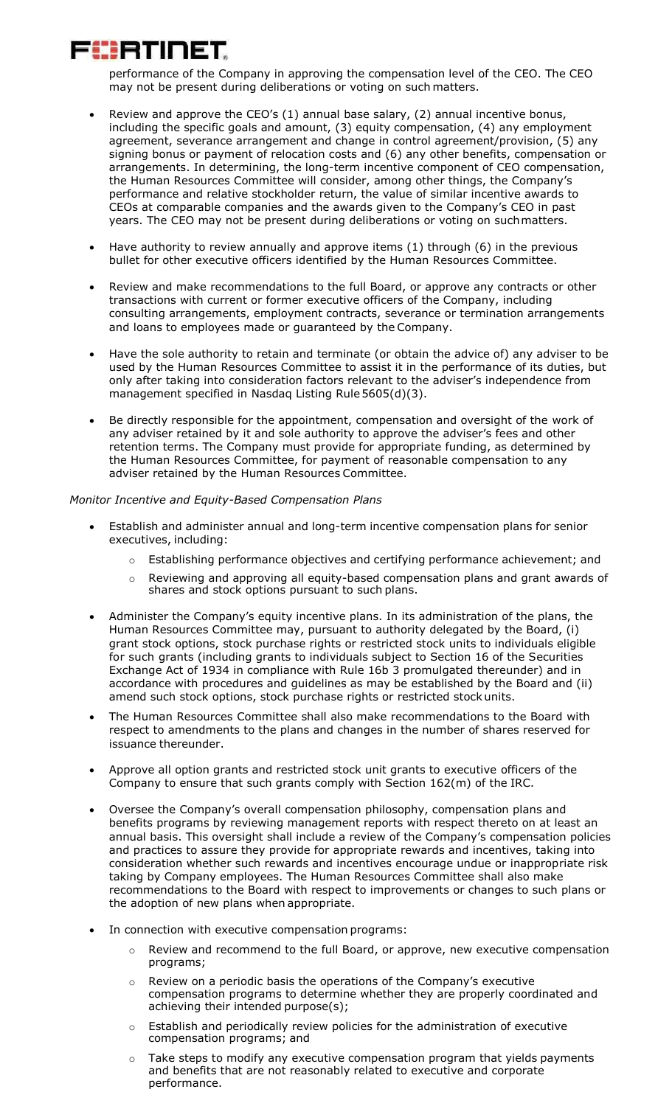

performance of the Company in approving the compensation level of the CEO. The CEO may not be present during deliberations or voting on such matters.

- Review and approve the CEO's (1) annual base salary, (2) annual incentive bonus, including the specific goals and amount, (3) equity compensation, (4) any employment agreement, severance arrangement and change in control agreement/provision, (5) any signing bonus or payment of relocation costs and (6) any other benefits, compensation or arrangements. In determining, the long-term incentive component of CEO compensation, the Human Resources Committee will consider, among other things, the Company's performance and relative stockholder return, the value of similar incentive awards to CEOs at comparable companies and the awards given to the Company's CEO in past years. The CEO may not be present during deliberations or voting on suchmatters.
- Have authority to review annually and approve items (1) through (6) in the previous bullet for other executive officers identified by the Human Resources Committee.
- Review and make recommendations to the full Board, or approve any contracts or other transactions with current or former executive officers of the Company, including consulting arrangements, employment contracts, severance or termination arrangements and loans to employees made or guaranteed by the Company.
- Have the sole authority to retain and terminate (or obtain the advice of) any adviser to be used by the Human Resources Committee to assist it in the performance of its duties, but only after taking into consideration factors relevant to the adviser's independence from management specified in Nasdaq Listing Rule5605(d)(3).
- Be directly responsible for the appointment, compensation and oversight of the work of any adviser retained by it and sole authority to approve the adviser's fees and other retention terms. The Company must provide for appropriate funding, as determined by the Human Resources Committee, for payment of reasonable compensation to any adviser retained by the Human Resources Committee.

#### *Monitor Incentive and Equity-Based Compensation Plans*

- Establish and administer annual and long-term incentive compensation plans for senior executives, including:
	- $\circ$  Establishing performance objectives and certifying performance achievement; and
	- $\circ$  Reviewing and approving all equity-based compensation plans and grant awards of shares and stock options pursuant to such plans.
- Administer the Company's equity incentive plans. In its administration of the plans, the Human Resources Committee may, pursuant to authority delegated by the Board, (i) grant stock options, stock purchase rights or restricted stock units to individuals eligible for such grants (including grants to individuals subject to Section 16 of the Securities Exchange Act of 1934 in compliance with Rule 16b 3 promulgated thereunder) and in accordance with procedures and guidelines as may be established by the Board and (ii) amend such stock options, stock purchase rights or restricted stockunits.
- The Human Resources Committee shall also make recommendations to the Board with respect to amendments to the plans and changes in the number of shares reserved for issuance thereunder.
- Approve all option grants and restricted stock unit grants to executive officers of the Company to ensure that such grants comply with Section 162(m) of the IRC.
- Oversee the Company's overall compensation philosophy, compensation plans and benefits programs by reviewing management reports with respect thereto on at least an annual basis. This oversight shall include a review of the Company's compensation policies and practices to assure they provide for appropriate rewards and incentives, taking into consideration whether such rewards and incentives encourage undue or inappropriate risk taking by Company employees. The Human Resources Committee shall also make recommendations to the Board with respect to improvements or changes to such plans or the adoption of new plans when appropriate.
- In connection with executive compensation programs:
	- $\circ$  Review and recommend to the full Board, or approve, new executive compensation programs;
	- Review on a periodic basis the operations of the Company's executive compensation programs to determine whether they are properly coordinated and achieving their intended purpose(s);
	- o Establish and periodically review policies for the administration of executive compensation programs; and
	- Take steps to modify any executive compensation program that yields payments and benefits that are not reasonably related to executive and corporate performance.